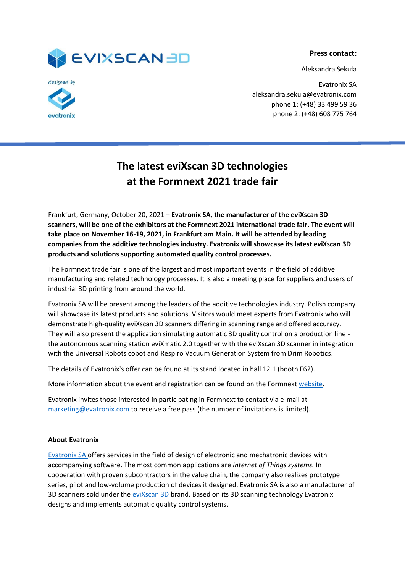

Aleksandra Sekuła





Evatronix SA aleksandra.sekula@evatronix.com phone 1: (+48) 33 499 59 36 phone 2: (+48) 608 775 764

## **The latest eviXscan 3D technologies at the Formnext 2021 trade fair**

Frankfurt, Germany, October 20, 2021 – **Evatronix SA, the manufacturer of the eviXscan 3D scanners, will be one of the exhibitors at the Formnext 2021 international trade fair. The event will take place on November 16-19, 2021, in Frankfurt am Main. It will be attended by leading companies from the additive technologies industry. Evatronix will showcase its latest eviXscan 3D products and solutions supporting automated quality control processes.**

The Formnext trade fair is one of the largest and most important events in the field of additive manufacturing and related technology processes. It is also a meeting place for suppliers and users of industrial 3D printing from around the world.

Evatronix SA will be present among the leaders of the additive technologies industry. Polish company will showcase its latest products and solutions. Visitors would meet experts from Evatronix who will demonstrate high-quality eviXscan 3D scanners differing in scanning range and offered accuracy. They will also present the application simulating automatic 3D quality control on a production line the autonomous scanning station eviXmatic 2.0 together with the eviXscan 3D scanner in integration with the Universal Robots cobot and Respiro Vacuum Generation System from Drim Robotics.

The details of Evatronix's offer can be found at its stand located in hall 12.1 (booth F62).

More information about the event and registration can be found on the Formnext [website.](https://formnext.mesago.com/frankfurt/en/planning-preparation.html#tickets)

Evatronix invites those interested in participating in Formnext to contact via e-mail at [marketing@evatronix.com](mailto:marketing@evatronix.com) to receive a free pass (the number of invitations is limited).

## **About Evatronix**

[Evatronix SA o](https://evatronix.com/en/)ffers services in the field of design of electronic and mechatronic devices with accompanying software. The most common applications are *Internet of Things systems.* In cooperation with proven subcontractors in the value chain, the company also realizes prototype series, pilot and low-volume production of devices it designed. Evatronix SA is also a manufacturer of 3D scanners sold under the eviXscan 3D brand. Based on its 3D scanning technology Evatronix designs and implements automatic quality control systems.